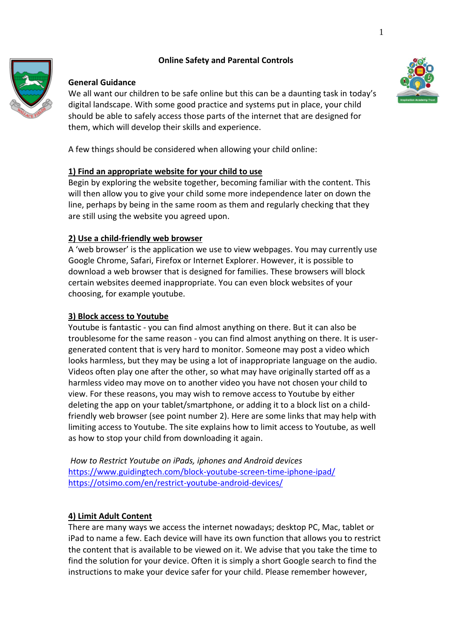# **Online Safety and Parental Controls**



### **General Guidance**

We all want our children to be safe online but this can be a daunting task in today's digital landscape. With some good practice and systems put in place, your child should be able to safely access those parts of the internet that are designed for them, which will develop their skills and experience.

A few things should be considered when allowing your child online:

# **1) Find an appropriate website for your child to use**

Begin by exploring the website together, becoming familiar with the content. This will then allow you to give your child some more independence later on down the line, perhaps by being in the same room as them and regularly checking that they are still using the website you agreed upon.

# **2) Use a child-friendly web browser**

A 'web browser' is the application we use to view webpages. You may currently use Google Chrome, Safari, Firefox or Internet Explorer. However, it is possible to download a web browser that is designed for families. These browsers will block certain websites deemed inappropriate. You can even block websites of your choosing, for example youtube.

### **3) Block access to Youtube**

Youtube is fantastic - you can find almost anything on there. But it can also be troublesome for the same reason - you can find almost anything on there. It is usergenerated content that is very hard to monitor. Someone may post a video which looks harmless, but they may be using a lot of inappropriate language on the audio. Videos often play one after the other, so what may have originally started off as a harmless video may move on to another video you have not chosen your child to view. For these reasons, you may wish to remove access to Youtube by either deleting the app on your tablet/smartphone, or adding it to a block list on a childfriendly web browser (see point number 2). Here are some links that may help with limiting access to Youtube. The site explains how to limit access to Youtube, as well as how to stop your child from downloading it again.

*How to Restrict Youtube on iPads, iphones and Android devices* <https://www.guidingtech.com/block-youtube-screen-time-iphone-ipad/> <https://otsimo.com/en/restrict-youtube-android-devices/>

# **4) Limit Adult Content**

There are many ways we access the internet nowadays; desktop PC, Mac, tablet or iPad to name a few. Each device will have its own function that allows you to restrict the content that is available to be viewed on it. We advise that you take the time to find the solution for your device. Often it is simply a short Google search to find the instructions to make your device safer for your child. Please remember however,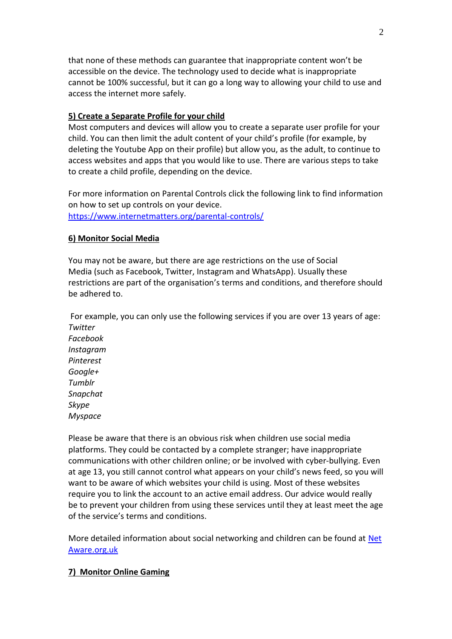that none of these methods can guarantee that inappropriate content won't be accessible on the device. The technology used to decide what is inappropriate cannot be 100% successful, but it can go a long way to allowing your child to use and access the internet more safely.

### **5) Create a Separate Profile for your child**

Most computers and devices will allow you to create a separate user profile for your child. You can then limit the adult content of your child's profile (for example, by deleting the Youtube App on their profile) but allow you, as the adult, to continue to access websites and apps that you would like to use. There are various steps to take to create a child profile, depending on the device.

For more information on Parental Controls click the following link to find information on how to set up controls on your device. <https://www.internetmatters.org/parental-controls/>

#### **6) Monitor Social Media**

You may not be aware, but there are age restrictions on the use of Social Media (such as Facebook, Twitter, Instagram and WhatsApp). Usually these restrictions are part of the organisation's terms and conditions, and therefore should be adhered to.

For example, you can only use the following services if you are over 13 years of age: *Twitter Facebook Instagram Pinterest Google+ Tumblr Snapchat Skype Myspace*

Please be aware that there is an obvious risk when children use social media platforms. They could be contacted by a complete stranger; have inappropriate communications with other children online; or be involved with cyber-bullying. Even at age 13, you still cannot control what appears on your child's news feed, so you will want to be aware of which websites your child is using. Most of these websites require you to link the account to an active email address. Our advice would really be to prevent your children from using these services until they at least meet the age of the service's terms and conditions.

More detailed information about social networking and children can be found at [Net](https://www.net-aware.org.uk/) [Aware.org.uk](https://www.net-aware.org.uk/)

#### **7) Monitor Online Gaming**